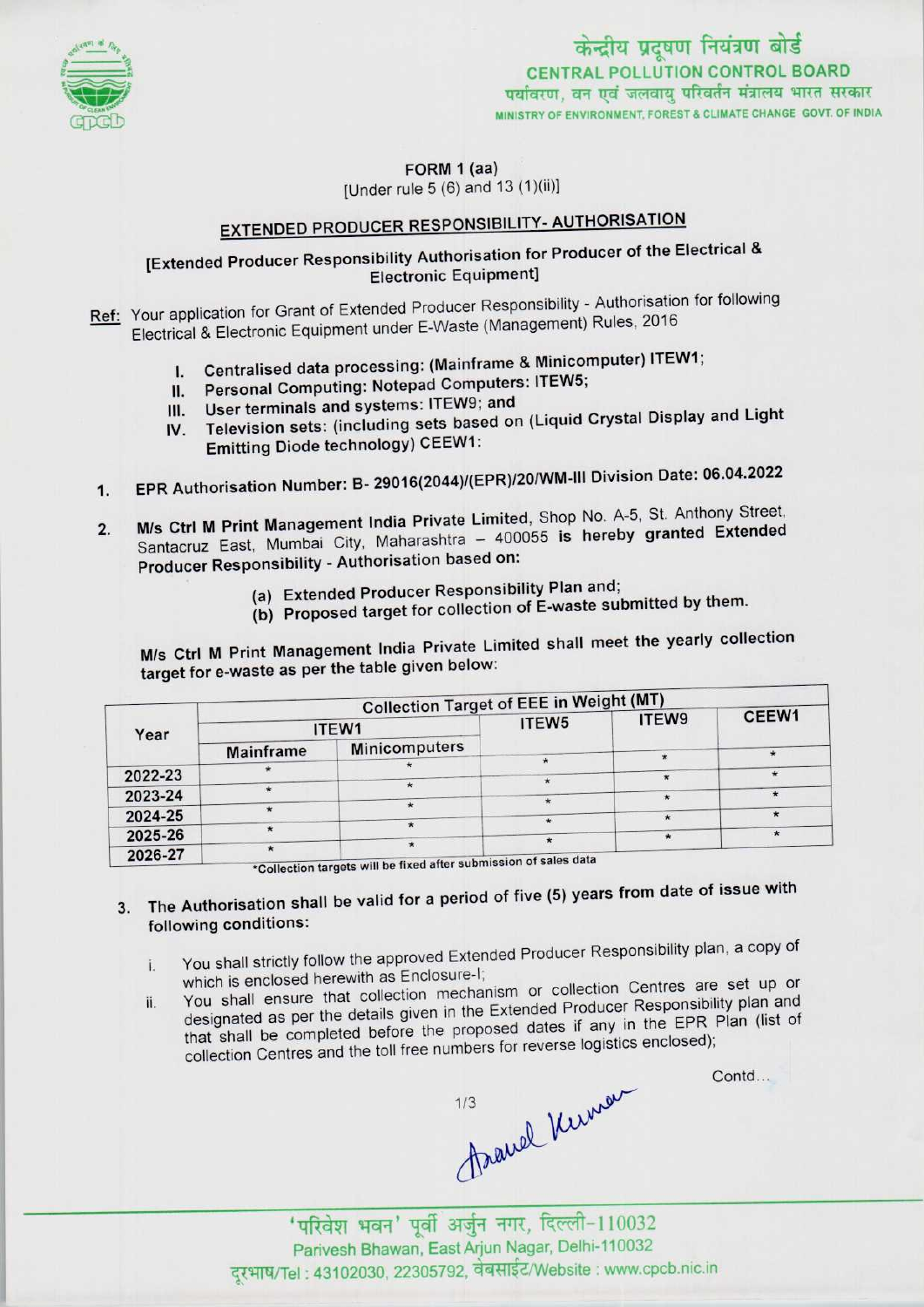

केन्द्रीय प्रदूषण नियंत्रण बोर्ड CENTRAL POLLUTION CONTROL BOARD<br>पर्यावरण, वन एवं जलवाय परिवर्तन मंत्रालय भारत सरकार MINISTRY OF ENVIRONMENT, FOREST & CLIMATE CHANGE GOVT. OF INDIA

FORM 1 (aa)

[Under rule 5 (6) and 13 (1)(ii)]

# EXTENDED PRODUCER RESPONSIBILITY- AUTHORISATION

### [Extended Producer Responsibility Authorisation for Producer of the Electrical & Electronic Equipment]

Ref: Your application for Grant of Extended Producer Responsibility - Authorisation for following Electrical & Electronic Equipment under E-Waste (Management) Rules, 2016

- cal & Electronic Equipment under E-vvaste (Management) Rates, 2006<br>L. Centralised data processing: (Mainframe & Minicomputer) ITEW1;
- I. Centralised data processing: (Mainframe & Minico<br>II. Personal Computing: Notepad Computers: ITEW5; II. Personal Computing: Notepad Computers: ITEW5;<br>III. User terminals and systems: ITEW9; and
- 
- IV. Television sets: (including sets based on (Liquid Crystal Display and Light Emitting Diode technology) CEEW1:
- 1.EPR Authorisation Number: B- 29016(2044)/{EPR)/20/WM-ll1 Division Date: 06.04.2022
- 1. EPR Authorisation Number: B- 29016(2044)/(EPR)/20/WM-III Division Date: 06.04.2022<br>2. M/s Ctrl M Print Management India Private Limited, Shop No. A-5, St. Anthony Street,<br>Cantaggy East, Mumbai City, Maharashtra 400055 Santacruz East, Mumbai City, Maharashtra - 400055 is hereby granted Extended<br>Producer Responsibility - Authorisation based on:
	- (a)Extended Producer Responsibility Plan and;
	- (b) Proposed target for collection of E-waste submitted by them.

M/s Ctrl <sup>M</sup> Print Management India Private Limited shall meet the yearly collection target for e-waste as per the table given below:

|         | <b>Collection Target of EEE in Weight (MT)</b> |                                                            |                   |       |       |
|---------|------------------------------------------------|------------------------------------------------------------|-------------------|-------|-------|
| Year    | ITEW1                                          |                                                            | ITEW <sub>5</sub> | ITEW9 | CEEW1 |
|         | Mainframe                                      | <b>Minicomputers</b>                                       |                   |       |       |
| 2022-23 |                                                |                                                            |                   |       |       |
| 2023-24 |                                                |                                                            |                   |       |       |
|         |                                                |                                                            |                   |       |       |
| 2024-25 |                                                |                                                            |                   |       |       |
| 2025-26 |                                                |                                                            |                   |       |       |
| 2026-27 |                                                | in the threat will be fixed after submission of sales data |                   |       |       |

\*Collection targets will be fixed after submission of sales data

## 3. The Authorisation shall be valid for a period of five (5) years from date of issue with following conditions:

- i. You shall strictly follow the approved Extended Producer Responsibility plan, a copy of which is enclosed herewith as Enclosure-I;
- ii. You shall ensure that collection mechanism or collection Centres are set up or You shall ensure that collection mechanism or collection centres are set up designated as per the details given in the Extended Producer Responsibility plan. that shall be completed before the proposed dates if any in the EPR Plan (list of collection Centres and the toll free numbers for reverse logistics enclosed);

Contd...

auel Kunner

Parivesh Bhawan, East Arjun Nagar, Delhi-110032 दूरभाष/Tel : 43102030, 22305792, वेबसाईट/Website : www.cpcb.nic.in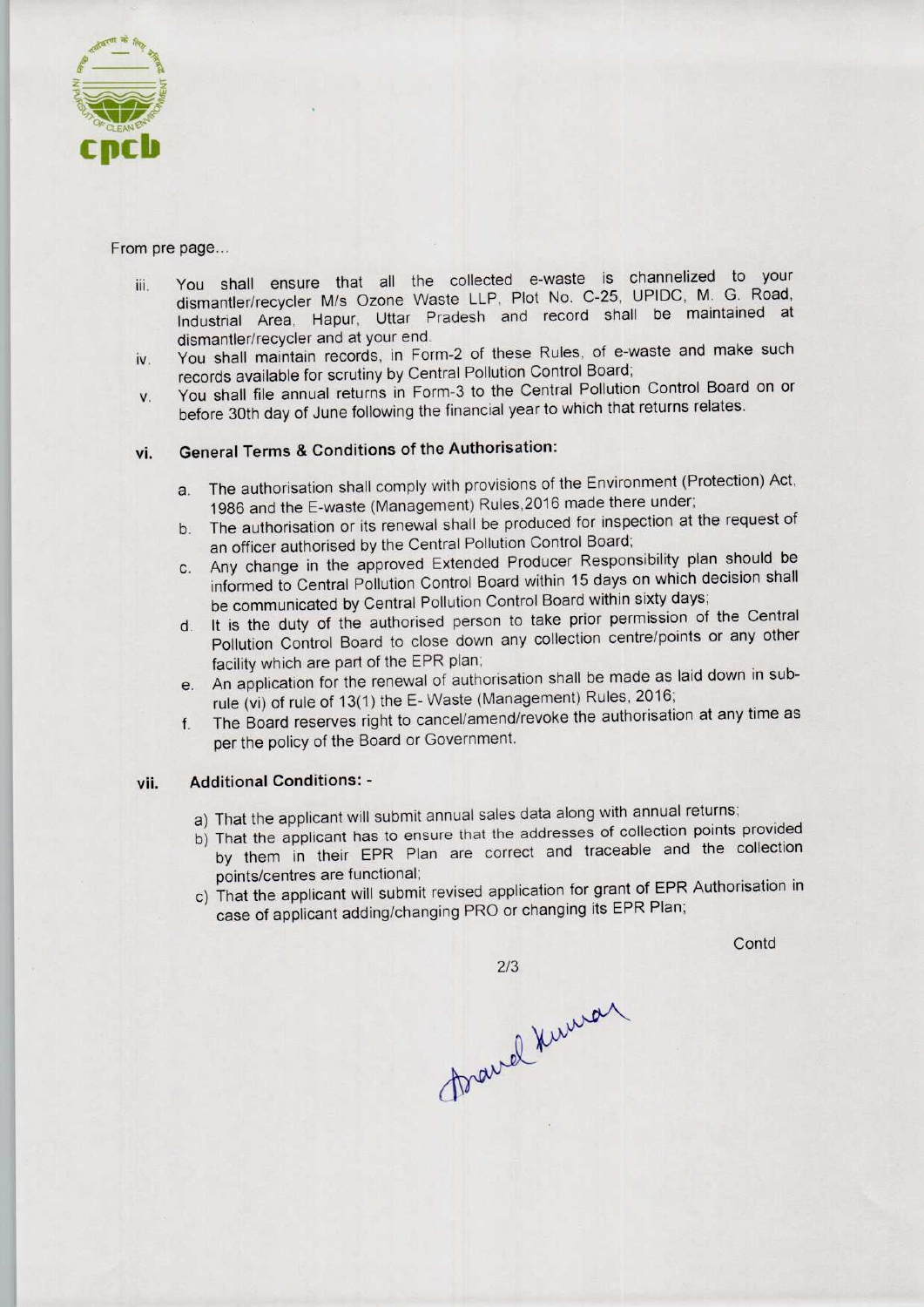

From pre page...

- iii. You shall ensure that all the collected e-waste is channelized to your dismantler/recycler M/s Ozone Waste LLP, Plot No. C-25, UPIDC, M. G. Road, Industrial Area, Hapur, Uttar Pradesh and record shall be maintained at dismantler/recycler and at your end.
- iv. You shall maintain records, in Form-2 of these Rules, of e-waste and make such records available for scrutiny by Central Pollution Control Board;
- v. You shall file annual returns in Form-3 to the Central Pollution Control Board on or before 30th day of June following the financial year to which that returns relates.

### vi. General Terms & Conditions of the Authorisation:

- a.The authorisation shall comply with provisions of the Environment (Protection) Act, 1986 and the E-waste (Management) Rules, 2016 made there under;
- b.The authorisation or its renewal shall be produced for inspection at the request of an officer authorised by the Central Pollution Control Board;
- c.Any change in the approved Extended Producer Responsibility plan should be informed to Central Pollution Control Board within 15 days on which decision shall be communicated by Central Pollution Control Board within sixty days;
- d.It is the duty of the authorised person to take prior permission of the Central Pollution Control Board to close down any collection centre/points or any other facility which are part of the EPR plan;
- e.An application for the renewal of authorisation shall be made as laid down in subrule (vi) of rule of 13(1) the E-Waste (Management) Rules, 2016;
- f. The Board reserves right to cancel/amend/revoke the authorisation at any time as per the policy of the Board or Government.

#### vii. Additional Conditions: -

- a)That the applicant will submit annual sales data along with annual returns;
- b)That the applicant has to ensure that the addresses of collection points provided by them in their EPR Plan are correct and traceable and the collection points/centres are functional;
- c) That the applicant will submit revised application for grant of EPR Authorisation in case of applicant adding/changing PRO or changing its EPR Plan;

 $2/3$ 

**Contd** 

foravel Kuman